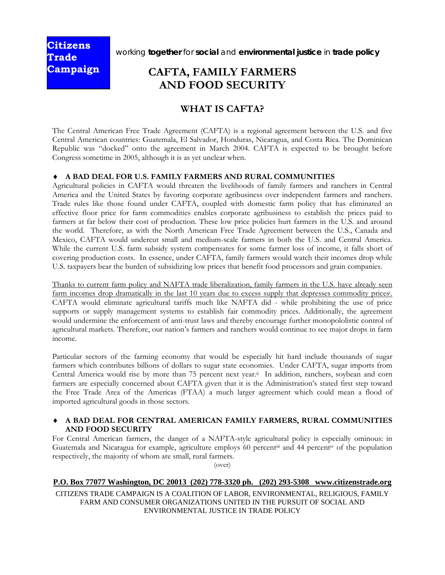**Citizens Trade Campaign** 

working **together** for **social** and **environmental justice** in **trade policy** 

# **CAFTA, FAMILY FARMERS AND FOOD SECURITY**

## **WHAT IS CAFTA?**

The Central American Free Trade Agreement (CAFTA) is a regional agreement between the U.S. and five Central American countries: Guatemala, El Salvador, Honduras, Nicaragua, and Costa Rica. The Dominican Republic was "docked" onto the agreement in March 2004. CAFTA is expected to be brought before Congress sometime in 2005, although it is as yet unclear when.

#### ♦ **A BAD DEAL FOR U.S. FAMILY FARMERS AND RURAL COMMUNITIES**

Agricultural policies in CAFTA would threaten the livelihoods of family farmers and ranchers in Central America and the United States by favoring corporate agribusiness over independent farmers and ranchers. Trade rules like those found under CAFTA, coupled with domestic farm policy that has eliminated an effective floor price for farm commodities enables corporate agribusiness to establish the prices paid to farmers at far below their cost of production. These low price policies hurt farmers in the U.S. and around the world. Therefore, as with the North American Free Trade Agreement between the U.S., Canada and Mexico, CAFTA would undercut small and medium-scale farmers in both the U.S. and Central America. While the current U.S. farm subsidy system compensates for some farmer loss of income, it falls short of covering production costs. In essence, under CAFTA, family farmers would watch their incomes drop while U.S. taxpayers bear the burden of subsidizing low prices that benefit food processors and grain companies.

Thanks to current farm policy and NAFTA trade liberalization, family farmers in the U.S. have already seen farm incomes drop dramatically in the last 10 years due to excess supply that depresses commodity prices<sup>i</sup>. CAFTA would eliminate agricultural tariffs much like NAFTA did - while prohibiting the use of price supports or supply management systems to establish fair commodity prices. Additionally, the agreement would undermine the enforcement of anti-trust laws and thereby encourage further monopololistic control of agricultural markets. Therefore, our nation's farmers and ranchers would continue to see major drops in farm income.

Particular sectors of the farming economy that would be especially hit hard include thousands of sugar farmers which contributes billions of dollars to sugar state economies. Under CAFTA, sugar imports from Central America would rise by more than 75 percent next year.<sup>ii</sup> In addition, ranchers, soybean and corn farmers are especially concerned about CAFTA given that it is the Administration's stated first step toward the Free Trade Area of the Americas (FTAA) a much larger agreement which could mean a flood of imported agricultural goods in those sectors.

#### ♦ **A BAD DEAL FOR CENTRAL AMERICAN FAMILY FARMERS, RURAL COMMUNITIES AND FOOD SECURITY**

For Central American farmers, the danger of a NAFTA-style agricultural policy is especially ominous: in Guatemala and Nicaragua for example, agriculture employs 60 percentiii and 44 percentiv of the population respectively, the majority of whom are small, rural farmers.

(over)

#### **P.O. Box 77077 Washington, DC 20013 (202) 778-3320 ph. (202) 293-5308 www.citizenstrade.org**

CITIZENS TRADE CAMPAIGN IS A COALITION OF LABOR, ENVIRONMENTAL, RELIGIOUS, FAMILY FARM AND CONSUMER ORGANIZATIONS UNITED IN THE PURSUIT OF SOCIAL AND ENVIRONMENTAL JUSTICE IN TRADE POLICY